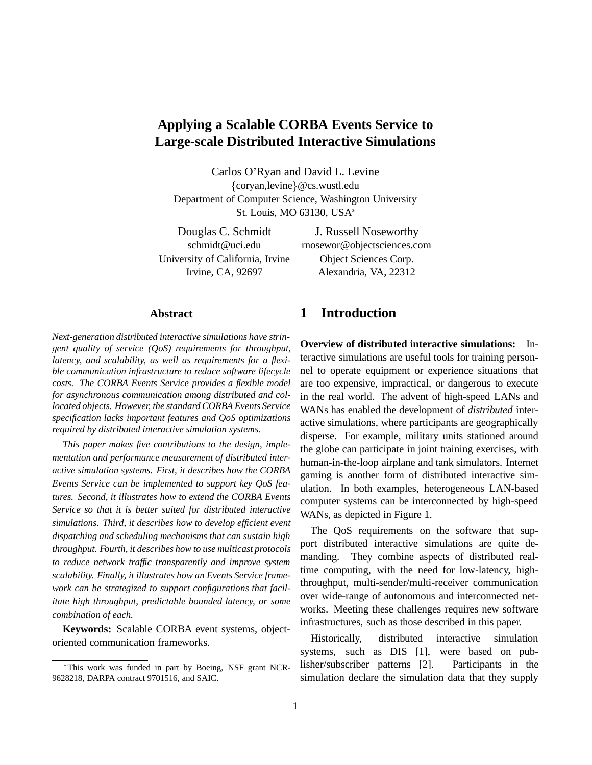# **Applying a Scalable CORBA Events Service to Large-scale Distributed Interactive Simulations**

Carlos O'Ryan and David L. Levine {coryan,levine}@cs.wustl.edu Department of Computer Science, Washington University St. Louis, MO 63130, USA

University of California, Irvine Object Sciences Corp.

Douglas C. Schmidt J. Russell Noseworthy schmidt@uci.edu rnosewor@objectsciences.com Irvine, CA, 92697 Alexandria, VA, 22312

### **Abstract**

*Next-generation distributed interactive simulations have stringent quality of service (QoS) requirements for throughput, latency, and scalability, as well as requirements for a flexible communication infrastructure to reduce software lifecycle costs. The CORBA Events Service provides a flexible model for asynchronous communication among distributed and collocated objects. However, the standard CORBA Events Service specification lacks important features and QoS optimizations required by distributed interactive simulation systems.*

*This paper makes five contributions to the design, implementation and performance measurement of distributed interactive simulation systems. First, it describes how the CORBA Events Service can be implemented to support key QoS features. Second, it illustrates how to extend the CORBA Events Service so that it is better suited for distributed interactive simulations. Third, it describes how to develop efficient event dispatching and scheduling mechanisms that can sustain high throughput. Fourth, it describes how to use multicast protocols to reduce network traffic transparently and improve system scalability. Finally, it illustrates how an Events Service framework can be strategized to support configurations that facilitate high throughput, predictable bounded latency, or some combination of each.*

**Keywords:** Scalable CORBA event systems, objectoriented communication frameworks.

# **1 Introduction**

**Overview of distributed interactive simulations:** Interactive simulations are useful tools for training personnel to operate equipment or experience situations that are too expensive, impractical, or dangerous to execute in the real world. The advent of high-speed LANs and WANs has enabled the development of *distributed* interactive simulations, where participants are geographically disperse. For example, military units stationed around the globe can participate in joint training exercises, with human-in-the-loop airplane and tank simulators. Internet gaming is another form of distributed interactive simulation. In both examples, heterogeneous LAN-based computer systems can be interconnected by high-speed WANs, as depicted in Figure 1.

The QoS requirements on the software that support distributed interactive simulations are quite demanding. They combine aspects of distributed realtime computing, with the need for low-latency, highthroughput, multi-sender/multi-receiver communication over wide-range of autonomous and interconnected networks. Meeting these challenges requires new software infrastructures, such as those described in this paper.

Historically, distributed interactive simulation systems, such as DIS [1], were based on publisher/subscriber patterns [2]. Participants in the simulation declare the simulation data that they supply

This work was funded in part by Boeing, NSF grant NCR-9628218, DARPA contract 9701516, and SAIC.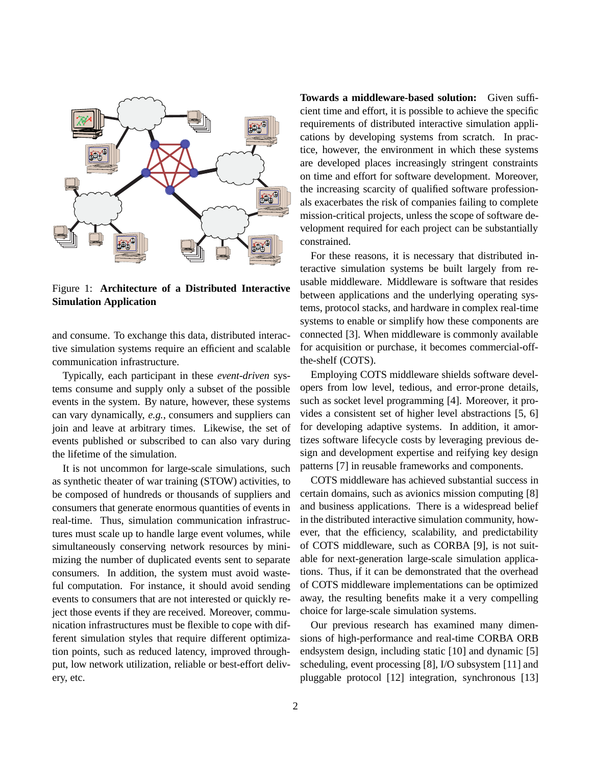

Figure 1: **Architecture of a Distributed Interactive Simulation Application**

and consume. To exchange this data, distributed interactive simulation systems require an efficient and scalable communication infrastructure.

Typically, each participant in these *event-driven* systems consume and supply only a subset of the possible events in the system. By nature, however, these systems can vary dynamically, *e.g.*, consumers and suppliers can join and leave at arbitrary times. Likewise, the set of events published or subscribed to can also vary during the lifetime of the simulation.

It is not uncommon for large-scale simulations, such as synthetic theater of war training (STOW) activities, to be composed of hundreds or thousands of suppliers and consumers that generate enormous quantities of events in real-time. Thus, simulation communication infrastructures must scale up to handle large event volumes, while simultaneously conserving network resources by minimizing the number of duplicated events sent to separate consumers. In addition, the system must avoid wasteful computation. For instance, it should avoid sending events to consumers that are not interested or quickly reject those events if they are received. Moreover, communication infrastructures must be flexible to cope with different simulation styles that require different optimization points, such as reduced latency, improved throughput, low network utilization, reliable or best-effort delivery, etc.

**Towards a middleware-based solution:** Given sufficient time and effort, it is possible to achieve the specific requirements of distributed interactive simulation applications by developing systems from scratch. In practice, however, the environment in which these systems are developed places increasingly stringent constraints on time and effort for software development. Moreover, the increasing scarcity of qualified software professionals exacerbates the risk of companies failing to complete mission-critical projects, unless the scope of software development required for each project can be substantially constrained.

For these reasons, it is necessary that distributed interactive simulation systems be built largely from reusable middleware. Middleware is software that resides between applications and the underlying operating systems, protocol stacks, and hardware in complex real-time systems to enable or simplify how these components are connected [3]. When middleware is commonly available for acquisition or purchase, it becomes commercial-offthe-shelf (COTS).

Employing COTS middleware shields software developers from low level, tedious, and error-prone details, such as socket level programming [4]. Moreover, it provides a consistent set of higher level abstractions [5, 6] for developing adaptive systems. In addition, it amortizes software lifecycle costs by leveraging previous design and development expertise and reifying key design patterns [7] in reusable frameworks and components.

COTS middleware has achieved substantial success in certain domains, such as avionics mission computing [8] and business applications. There is a widespread belief in the distributed interactive simulation community, however, that the efficiency, scalability, and predictability of COTS middleware, such as CORBA [9], is not suitable for next-generation large-scale simulation applications. Thus, if it can be demonstrated that the overhead of COTS middleware implementations can be optimized away, the resulting benefits make it a very compelling choice for large-scale simulation systems.

Our previous research has examined many dimensions of high-performance and real-time CORBA ORB endsystem design, including static [10] and dynamic [5] scheduling, event processing [8], I/O subsystem [11] and pluggable protocol [12] integration, synchronous [13]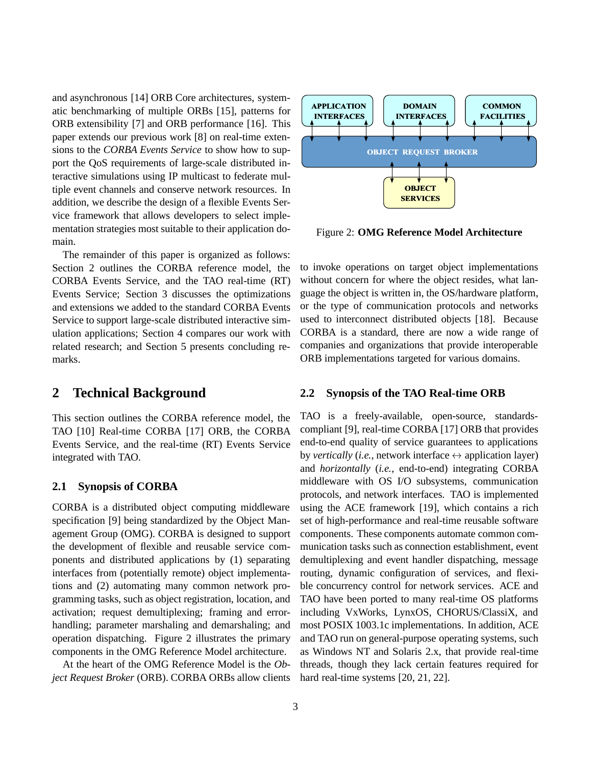and asynchronous [14] ORB Core architectures, systematic benchmarking of multiple ORBs [15], patterns for ORB extensibility [7] and ORB performance [16]. This paper extends our previous work [8] on real-time extensions to the *CORBA Events Service* to show how to support the QoS requirements of large-scale distributed interactive simulations using IP multicast to federate multiple event channels and conserve network resources. In addition, we describe the design of a flexible Events Service framework that allows developers to select implementation strategies most suitable to their application domain.

The remainder of this paper is organized as follows: Section 2 outlines the CORBA reference model, the CORBA Events Service, and the TAO real-time (RT) Events Service; Section 3 discusses the optimizations and extensions we added to the standard CORBA Events Service to support large-scale distributed interactive simulation applications; Section 4 compares our work with related research; and Section 5 presents concluding remarks.

# **2 Technical Background**

This section outlines the CORBA reference model, the TAO [10] Real-time CORBA [17] ORB, the CORBA Events Service, and the real-time (RT) Events Service integrated with TAO.

#### **2.1 Synopsis of CORBA**

CORBA is a distributed object computing middleware specification [9] being standardized by the Object Management Group (OMG). CORBA is designed to support the development of flexible and reusable service components and distributed applications by (1) separating interfaces from (potentially remote) object implementations and (2) automating many common network programming tasks, such as object registration, location, and activation; request demultiplexing; framing and errorhandling; parameter marshaling and demarshaling; and operation dispatching. Figure 2 illustrates the primary components in the OMG Reference Model architecture.

At the heart of the OMG Reference Model is the *Object Request Broker* (ORB). CORBA ORBs allow clients



Figure 2: **OMG Reference Model Architecture**

to invoke operations on target object implementations without concern for where the object resides, what language the object is written in, the OS/hardware platform, or the type of communication protocols and networks used to interconnect distributed objects [18]. Because CORBA is a standard, there are now a wide range of companies and organizations that provide interoperable ORB implementations targeted for various domains.

### **2.2 Synopsis of the TAO Real-time ORB**

TAO is a freely-available, open-source, standardscompliant [9], real-time CORBA [17] ORB that provides end-to-end quality of service guarantees to applications by *vertically* (*i.e.*, network interface  $\leftrightarrow$  application layer) and *horizontally* (*i.e.*, end-to-end) integrating CORBA middleware with OS I/O subsystems, communication protocols, and network interfaces. TAO is implemented using the ACE framework [19], which contains a rich set of high-performance and real-time reusable software components. These components automate common communication tasks such as connection establishment, event demultiplexing and event handler dispatching, message routing, dynamic configuration of services, and flexible concurrency control for network services. ACE and TAO have been ported to many real-time OS platforms including VxWorks, LynxOS, CHORUS/ClassiX, and most POSIX 1003.1c implementations. In addition, ACE and TAO run on general-purpose operating systems, such as Windows NT and Solaris 2.x, that provide real-time threads, though they lack certain features required for hard real-time systems [20, 21, 22].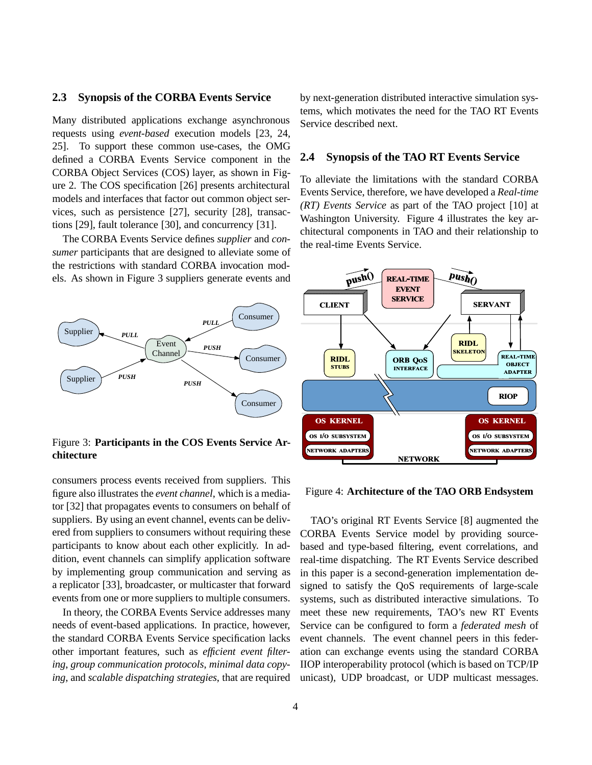#### **2.3 Synopsis of the CORBA Events Service**

Many distributed applications exchange asynchronous requests using *event-based* execution models [23, 24, 25]. To support these common use-cases, the OMG defined a CORBA Events Service component in the CORBA Object Services (COS) layer, as shown in Figure 2. The COS specification [26] presents architectural models and interfaces that factor out common object services, such as persistence [27], security [28], transactions [29], fault tolerance [30], and concurrency [31].

The CORBA Events Service defines *supplier* and *consumer* participants that are designed to alleviate some of the restrictions with standard CORBA invocation models. As shown in Figure 3 suppliers generate events and



Figure 3: **Participants in the COS Events Service Architecture**

consumers process events received from suppliers. This figure also illustrates the *event channel*, which is a mediator [32] that propagates events to consumers on behalf of suppliers. By using an event channel, events can be delivered from suppliers to consumers without requiring these participants to know about each other explicitly. In addition, event channels can simplify application software by implementing group communication and serving as a replicator [33], broadcaster, or multicaster that forward events from one or more suppliers to multiple consumers.

In theory, the CORBA Events Service addresses many needs of event-based applications. In practice, however, the standard CORBA Events Service specification lacks other important features, such as *efficient event filtering*, *group communication protocols*, *minimal data copying*, and *scalable dispatching strategies*, that are required by next-generation distributed interactive simulation systems, which motivates the need for the TAO RT Events Service described next.

#### **2.4 Synopsis of the TAO RT Events Service**

To alleviate the limitations with the standard CORBA Events Service, therefore, we have developed a *Real-time (RT) Events Service* as part of the TAO project [10] at Washington University. Figure 4 illustrates the key architectural components in TAO and their relationship to the real-time Events Service.



#### Figure 4: **Architecture of the TAO ORB Endsystem**

TAO's original RT Events Service [8] augmented the CORBA Events Service model by providing sourcebased and type-based filtering, event correlations, and real-time dispatching. The RT Events Service described in this paper is a second-generation implementation designed to satisfy the QoS requirements of large-scale systems, such as distributed interactive simulations. To meet these new requirements, TAO's new RT Events Service can be configured to form a *federated mesh* of event channels. The event channel peers in this federation can exchange events using the standard CORBA IIOP interoperability protocol (which is based on TCP/IP unicast), UDP broadcast, or UDP multicast messages.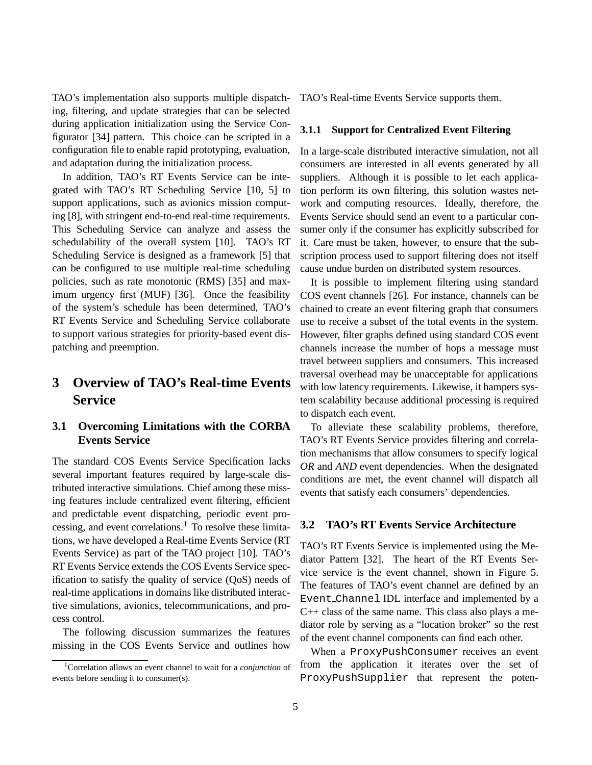TAO's implementation also supports multiple dispatching, filtering, and update strategies that can be selected during application initialization using the Service Configurator [34] pattern. This choice can be scripted in a configuration file to enable rapid prototyping, evaluation, and adaptation during the initialization process.

In addition, TAO's RT Events Service can be integrated with TAO's RT Scheduling Service [10, 5] to support applications, such as avionics mission computing [8], with stringent end-to-end real-time requirements. This Scheduling Service can analyze and assess the schedulability of the overall system [10]. TAO's RT Scheduling Service is designed as a framework [5] that can be configured to use multiple real-time scheduling policies, such as rate monotonic (RMS) [35] and maximum urgency first (MUF) [36]. Once the feasibility of the system's schedule has been determined, TAO's RT Events Service and Scheduling Service collaborate to support various strategies for priority-based event dispatching and preemption.

# **3 Overview of TAO's Real-time Events Service**

# **3.1 Overcoming Limitations with the CORBA Events Service**

The standard COS Events Service Specification lacks several important features required by large-scale distributed interactive simulations. Chief among these missing features include centralized event filtering, efficient and predictable event dispatching, periodic event processing, and event correlations.<sup>1</sup> To resolve these limitations, we have developed a Real-time Events Service (RT Events Service) as part of the TAO project [10]. TAO's RT Events Service extends the COS Events Service specification to satisfy the quality of service (QoS) needs of real-time applications in domains like distributed interactive simulations, avionics, telecommunications, and process control.

The following discussion summarizes the features missing in the COS Events Service and outlines how

1 Correlation allows an event channel to wait for a *conjunction* of events before sending it to consumer(s).

TAO's Real-time Events Service supports them.

#### **3.1.1 Support for Centralized Event Filtering**

In a large-scale distributed interactive simulation, not all consumers are interested in all events generated by all suppliers. Although it is possible to let each application perform its own filtering, this solution wastes network and computing resources. Ideally, therefore, the Events Service should send an event to a particular consumer only if the consumer has explicitly subscribed for it. Care must be taken, however, to ensure that the subscription process used to support filtering does not itself cause undue burden on distributed system resources.

It is possible to implement filtering using standard COS event channels [26]. For instance, channels can be chained to create an event filtering graph that consumers use to receive a subset of the total events in the system. However, filter graphs defined using standard COS event channels increase the number of hops a message must travel between suppliers and consumers. This increased traversal overhead may be unacceptable for applications with low latency requirements. Likewise, it hampers system scalability because additional processing is required to dispatch each event.

To alleviate these scalability problems, therefore, TAO's RT Events Service provides filtering and correlation mechanisms that allow consumers to specify logical *OR* and *AND* event dependencies. When the designated conditions are met, the event channel will dispatch all events that satisfy each consumers' dependencies.

#### **3.2 TAO's RT Events Service Architecture**

TAO's RT Events Service is implemented using the Mediator Pattern [32]. The heart of the RT Events Service service is the event channel, shown in Figure 5. The features of TAO's event channel are defined by an Event Channel IDL interface and implemented by a C++ class of the same name. This class also plays a mediator role by serving as a "location broker" so the rest of the event channel components can find each other.

When a ProxyPushConsumer receives an event from the application it iterates over the set of ProxyPushSupplier that represent the poten-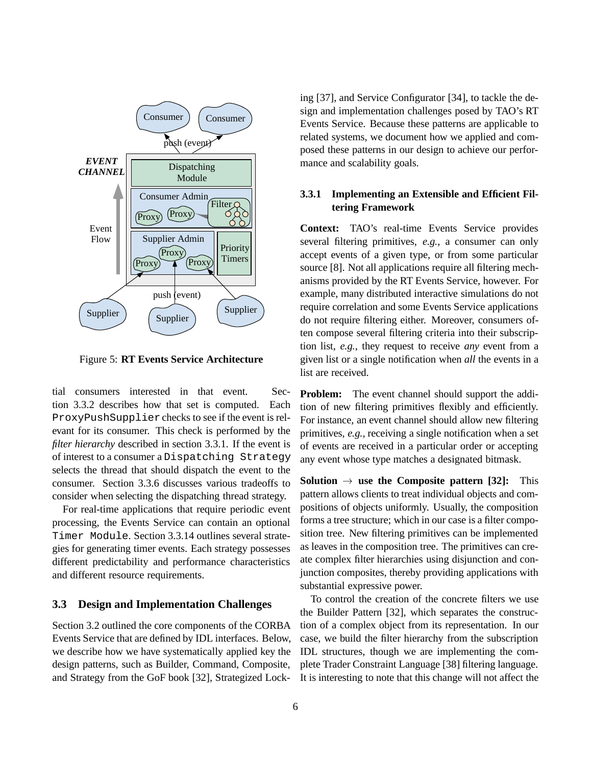

Figure 5: **RT Events Service Architecture**

tial consumers interested in that event. Section 3.3.2 describes how that set is computed. Each ProxyPushSupplierchecks to see if the event is relevant for its consumer. This check is performed by the *filter hierarchy* described in section 3.3.1. If the event is of interest to a consumer a Dispatching Strategy selects the thread that should dispatch the event to the consumer. Section 3.3.6 discusses various tradeoffs to consider when selecting the dispatching thread strategy.

For real-time applications that require periodic event processing, the Events Service can contain an optional Timer Module. Section 3.3.14 outlines several strategies for generating timer events. Each strategy possesses different predictability and performance characteristics and different resource requirements.

### **3.3 Design and Implementation Challenges**

Section 3.2 outlined the core components of the CORBA Events Service that are defined by IDL interfaces. Below, we describe how we have systematically applied key the design patterns, such as Builder, Command, Composite, and Strategy from the GoF book [32], Strategized Locking [37], and Service Configurator [34], to tackle the design and implementation challenges posed by TAO's RT Events Service. Because these patterns are applicable to related systems, we document how we applied and composed these patterns in our design to achieve our performance and scalability goals.

# **3.3.1 Implementing an Extensible and Efficient Filtering Framework**

**Context:** TAO's real-time Events Service provides several filtering primitives, *e.g.*, a consumer can only accept events of a given type, or from some particular source [8]. Not all applications require all filtering mechanisms provided by the RT Events Service, however. For example, many distributed interactive simulations do not require correlation and some Events Service applications do not require filtering either. Moreover, consumers often compose several filtering criteria into their subscription list, *e.g.*, they request to receive *any* event from a given list or a single notification when *all* the events in a list are received.

**Problem:** The event channel should support the addition of new filtering primitives flexibly and efficiently. For instance, an event channel should allow new filtering primitives, *e.g.*, receiving a single notification when a set of events are received in a particular order or accepting any event whose type matches a designated bitmask.

**Solution**  $\rightarrow$  **use the Composite pattern [32]:** This pattern allows clients to treat individual objects and compositions of objects uniformly. Usually, the composition forms a tree structure; which in our case is a filter composition tree. New filtering primitives can be implemented as leaves in the composition tree. The primitives can create complex filter hierarchies using disjunction and conjunction composites, thereby providing applications with substantial expressive power.

To control the creation of the concrete filters we use the Builder Pattern [32], which separates the construction of a complex object from its representation. In our case, we build the filter hierarchy from the subscription IDL structures, though we are implementing the complete Trader Constraint Language [38] filtering language. It is interesting to note that this change will not affect the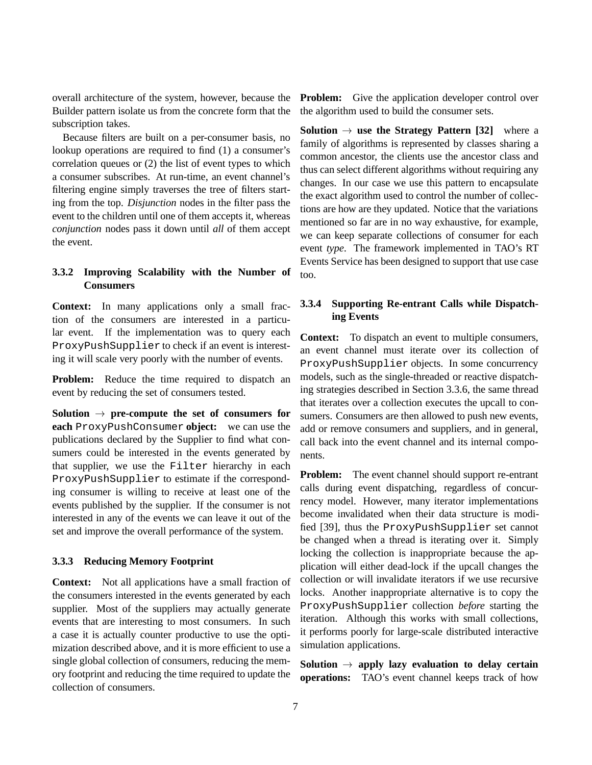overall architecture of the system, however, because the Builder pattern isolate us from the concrete form that the subscription takes.

Because filters are built on a per-consumer basis, no lookup operations are required to find (1) a consumer's correlation queues or (2) the list of event types to which a consumer subscribes. At run-time, an event channel's filtering engine simply traverses the tree of filters starting from the top. *Disjunction* nodes in the filter pass the event to the children until one of them accepts it, whereas *conjunction* nodes pass it down until *all* of them accept the event.

### **3.3.2 Improving Scalability with the Number of Consumers**

**Context:** In many applications only a small fraction of the consumers are interested in a particular event. If the implementation was to query each ProxyPushSupplier to check if an event is interesting it will scale very poorly with the number of events.

**Problem:** Reduce the time required to dispatch an event by reducing the set of consumers tested.

**Solution**  $\rightarrow$  **pre-compute the set of consumers for each** ProxyPushConsumer **object:** we can use the publications declared by the Supplier to find what consumers could be interested in the events generated by that supplier, we use the Filter hierarchy in each ProxyPushSupplier to estimate if the corresponding consumer is willing to receive at least one of the events published by the supplier. If the consumer is not interested in any of the events we can leave it out of the set and improve the overall performance of the system.

### **3.3.3 Reducing Memory Footprint**

**Context:** Not all applications have a small fraction of the consumers interested in the events generated by each supplier. Most of the suppliers may actually generate events that are interesting to most consumers. In such a case it is actually counter productive to use the optimization described above, and it is more efficient to use a single global collection of consumers, reducing the memory footprint and reducing the time required to update the collection of consumers.

**Problem:** Give the application developer control over the algorithm used to build the consumer sets.

**Solution**  $\rightarrow$  **use the Strategy Pattern [32]** where a family of algorithms is represented by classes sharing a common ancestor, the clients use the ancestor class and thus can select different algorithms without requiring any changes. In our case we use this pattern to encapsulate the exact algorithm used to control the number of collections are how are they updated. Notice that the variations mentioned so far are in no way exhaustive, for example, we can keep separate collections of consumer for each event *type*. The framework implemented in TAO's RT Events Service has been designed to support that use case too.

### **3.3.4 Supporting Re-entrant Calls while Dispatching Events**

**Context:** To dispatch an event to multiple consumers, an event channel must iterate over its collection of ProxyPushSupplier objects. In some concurrency models, such as the single-threaded or reactive dispatching strategies described in Section 3.3.6, the same thread that iterates over a collection executes the upcall to consumers. Consumers are then allowed to push new events, add or remove consumers and suppliers, and in general, call back into the event channel and its internal components.

**Problem:** The event channel should support re-entrant calls during event dispatching, regardless of concurrency model. However, many iterator implementations become invalidated when their data structure is modified [39], thus the ProxyPushSupplier set cannot be changed when a thread is iterating over it. Simply locking the collection is inappropriate because the application will either dead-lock if the upcall changes the collection or will invalidate iterators if we use recursive locks. Another inappropriate alternative is to copy the ProxyPushSupplier collection *before* starting the iteration. Although this works with small collections, it performs poorly for large-scale distributed interactive simulation applications.

**Solution**  $\rightarrow$  apply lazy evaluation to delay certain **operations:** TAO's event channel keeps track of how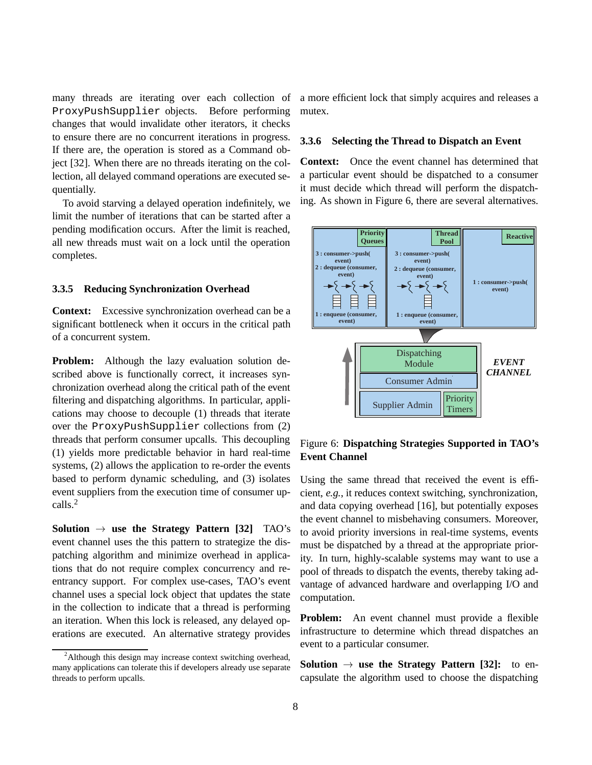many threads are iterating over each collection of ProxyPushSupplier objects. Before performing changes that would invalidate other iterators, it checks to ensure there are no concurrent iterations in progress. If there are, the operation is stored as a Command object [32]. When there are no threads iterating on the collection, all delayed command operations are executed sequentially.

To avoid starving a delayed operation indefinitely, we limit the number of iterations that can be started after a pending modification occurs. After the limit is reached, all new threads must wait on a lock until the operation completes.

#### **3.3.5 Reducing Synchronization Overhead**

**Context:** Excessive synchronization overhead can be a significant bottleneck when it occurs in the critical path of a concurrent system.

**Problem:** Although the lazy evaluation solution described above is functionally correct, it increases synchronization overhead along the critical path of the event filtering and dispatching algorithms. In particular, applications may choose to decouple (1) threads that iterate over the ProxyPushSupplier collections from (2) threads that perform consumer upcalls. This decoupling (1) yields more predictable behavior in hard real-time systems, (2) allows the application to re-order the events based to perform dynamic scheduling, and (3) isolates event suppliers from the execution time of consumer upcalls.<sup>2</sup>

**Solution**  $\rightarrow$  **use the Strategy Pattern [32]** TAO's event channel uses the this pattern to strategize the dispatching algorithm and minimize overhead in applications that do not require complex concurrency and reentrancy support. For complex use-cases, TAO's event channel uses a special lock object that updates the state in the collection to indicate that a thread is performing an iteration. When this lock is released, any delayed operations are executed. An alternative strategy provides

a more efficient lock that simply acquires and releases a mutex.

#### **3.3.6 Selecting the Thread to Dispatch an Event**

**Context:** Once the event channel has determined that a particular event should be dispatched to a consumer it must decide which thread will perform the dispatching. As shown in Figure 6, there are several alternatives.



# Figure 6: **Dispatching Strategies Supported in TAO's Event Channel**

Using the same thread that received the event is efficient, *e.g.*, it reduces context switching, synchronization, and data copying overhead [16], but potentially exposes the event channel to misbehaving consumers. Moreover, to avoid priority inversions in real-time systems, events must be dispatched by a thread at the appropriate priority. In turn, highly-scalable systems may want to use a pool of threads to dispatch the events, thereby taking advantage of advanced hardware and overlapping I/O and computation.

**Problem:** An event channel must provide a flexible infrastructure to determine which thread dispatches an event to a particular consumer.

**Solution**  $\rightarrow$  **use the Strategy Pattern [32]:** to encapsulate the algorithm used to choose the dispatching

 $2$ Although this design may increase context switching overhead, many applications can tolerate this if developers already use separate threads to perform upcalls.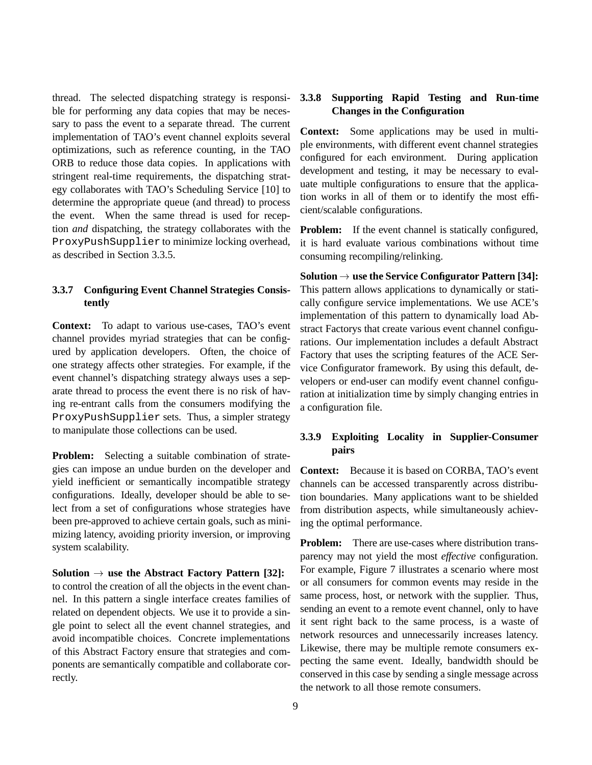thread. The selected dispatching strategy is responsible for performing any data copies that may be necessary to pass the event to a separate thread. The current implementation of TAO's event channel exploits several optimizations, such as reference counting, in the TAO ORB to reduce those data copies. In applications with stringent real-time requirements, the dispatching strategy collaborates with TAO's Scheduling Service [10] to determine the appropriate queue (and thread) to process the event. When the same thread is used for reception *and* dispatching, the strategy collaborates with the ProxyPushSupplier to minimize locking overhead, as described in Section 3.3.5.

## **3.3.7 Configuring Event Channel Strategies Consistently**

**Context:** To adapt to various use-cases, TAO's event channel provides myriad strategies that can be configured by application developers. Often, the choice of one strategy affects other strategies. For example, if the event channel's dispatching strategy always uses a separate thread to process the event there is no risk of having re-entrant calls from the consumers modifying the ProxyPushSupplier sets. Thus, a simpler strategy to manipulate those collections can be used.

**Problem:** Selecting a suitable combination of strategies can impose an undue burden on the developer and yield inefficient or semantically incompatible strategy configurations. Ideally, developer should be able to select from a set of configurations whose strategies have been pre-approved to achieve certain goals, such as minimizing latency, avoiding priority inversion, or improving system scalability.

**Solution**  $\rightarrow$  **use the Abstract Factory Pattern [32]:** to control the creation of all the objects in the event channel. In this pattern a single interface creates families of related on dependent objects. We use it to provide a single point to select all the event channel strategies, and avoid incompatible choices. Concrete implementations of this Abstract Factory ensure that strategies and components are semantically compatible and collaborate correctly.

# **3.3.8 Supporting Rapid Testing and Run-time Changes in the Configuration**

**Context:** Some applications may be used in multiple environments, with different event channel strategies configured for each environment. During application development and testing, it may be necessary to evaluate multiple configurations to ensure that the application works in all of them or to identify the most efficient/scalable configurations.

**Problem:** If the event channel is statically configured, it is hard evaluate various combinations without time consuming recompiling/relinking.

Solution  $\rightarrow$  use the Service Configurator Pattern [34]: This pattern allows applications to dynamically or statically configure service implementations. We use ACE's implementation of this pattern to dynamically load Abstract Factorys that create various event channel configurations. Our implementation includes a default Abstract Factory that uses the scripting features of the ACE Service Configurator framework. By using this default, developers or end-user can modify event channel configuration at initialization time by simply changing entries in a configuration file.

# **3.3.9 Exploiting Locality in Supplier-Consumer pairs**

**Context:** Because it is based on CORBA, TAO's event channels can be accessed transparently across distribution boundaries. Many applications want to be shielded from distribution aspects, while simultaneously achieving the optimal performance.

**Problem:** There are use-cases where distribution transparency may not yield the most *effective* configuration. For example, Figure 7 illustrates a scenario where most or all consumers for common events may reside in the same process, host, or network with the supplier. Thus, sending an event to a remote event channel, only to have it sent right back to the same process, is a waste of network resources and unnecessarily increases latency. Likewise, there may be multiple remote consumers expecting the same event. Ideally, bandwidth should be conserved in this case by sending a single message across the network to all those remote consumers.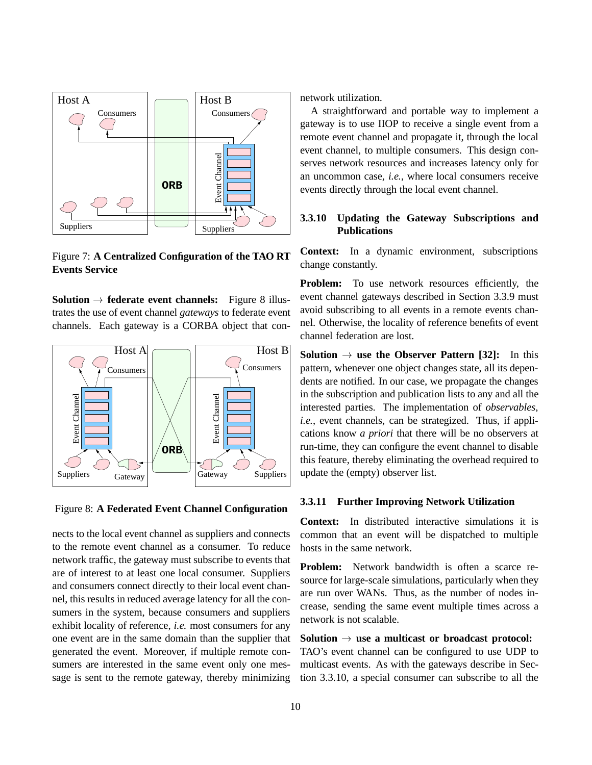

Figure 7: **A Centralized Configuration of the TAO RT Events Service**

**Solution**  $\rightarrow$  **federate event channels:** Figure 8 illustrates the use of event channel *gateways* to federate event channels. Each gateway is a CORBA object that con-



Figure 8: **A Federated Event Channel Configuration**

nects to the local event channel as suppliers and connects to the remote event channel as a consumer. To reduce network traffic, the gateway must subscribe to events that are of interest to at least one local consumer. Suppliers and consumers connect directly to their local event channel, this results in reduced average latency for all the consumers in the system, because consumers and suppliers exhibit locality of reference, *i.e.* most consumers for any one event are in the same domain than the supplier that generated the event. Moreover, if multiple remote consumers are interested in the same event only one message is sent to the remote gateway, thereby minimizing

network utilization.

A straightforward and portable way to implement a gateway is to use IIOP to receive a single event from a remote event channel and propagate it, through the local event channel, to multiple consumers. This design conserves network resources and increases latency only for an uncommon case, *i.e.*, where local consumers receive events directly through the local event channel.

## **3.3.10 Updating the Gateway Subscriptions and Publications**

**Context:** In a dynamic environment, subscriptions change constantly.

**Problem:** To use network resources efficiently, the event channel gateways described in Section 3.3.9 must avoid subscribing to all events in a remote events channel. Otherwise, the locality of reference benefits of event channel federation are lost.

**Solution**  $\rightarrow$  **use the Observer Pattern [32]:** In this pattern, whenever one object changes state, all its dependents are notified. In our case, we propagate the changes in the subscription and publication lists to any and all the interested parties. The implementation of *observables*, *i.e.*, event channels, can be strategized. Thus, if applications know *a priori* that there will be no observers at run-time, they can configure the event channel to disable this feature, thereby eliminating the overhead required to update the (empty) observer list.

#### **3.3.11 Further Improving Network Utilization**

**Context:** In distributed interactive simulations it is common that an event will be dispatched to multiple hosts in the same network.

**Problem:** Network bandwidth is often a scarce resource for large-scale simulations, particularly when they are run over WANs. Thus, as the number of nodes increase, sending the same event multiple times across a network is not scalable.

#### **Solution**  $\rightarrow$  **use a multicast or broadcast protocol:**

TAO's event channel can be configured to use UDP to multicast events. As with the gateways describe in Section 3.3.10, a special consumer can subscribe to all the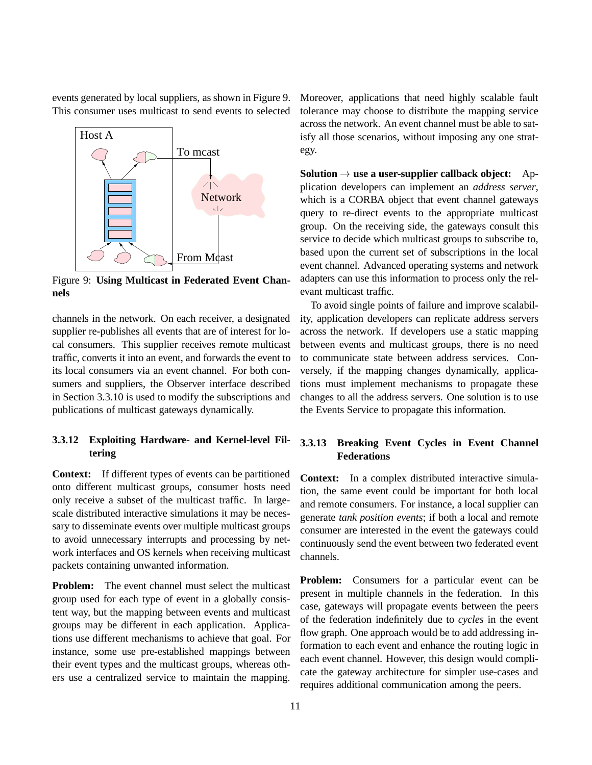events generated by local suppliers, as shown in Figure 9. This consumer uses multicast to send events to selected



Figure 9: **Using Multicast in Federated Event Channels**

channels in the network. On each receiver, a designated supplier re-publishes all events that are of interest for local consumers. This supplier receives remote multicast traffic, converts it into an event, and forwards the event to its local consumers via an event channel. For both consumers and suppliers, the Observer interface described in Section 3.3.10 is used to modify the subscriptions and publications of multicast gateways dynamically.

# **3.3.12 Exploiting Hardware- and Kernel-level Filtering**

**Context:** If different types of events can be partitioned onto different multicast groups, consumer hosts need only receive a subset of the multicast traffic. In largescale distributed interactive simulations it may be necessary to disseminate events over multiple multicast groups to avoid unnecessary interrupts and processing by network interfaces and OS kernels when receiving multicast packets containing unwanted information.

**Problem:** The event channel must select the multicast group used for each type of event in a globally consistent way, but the mapping between events and multicast groups may be different in each application. Applications use different mechanisms to achieve that goal. For instance, some use pre-established mappings between their event types and the multicast groups, whereas others use a centralized service to maintain the mapping.

Moreover, applications that need highly scalable fault tolerance may choose to distribute the mapping service across the network. An event channel must be able to satisfy all those scenarios, without imposing any one strategy.

**Solution**  $\rightarrow$  **use a user-supplier callback object:** Application developers can implement an *address server*, which is a CORBA object that event channel gateways query to re-direct events to the appropriate multicast group. On the receiving side, the gateways consult this service to decide which multicast groups to subscribe to, based upon the current set of subscriptions in the local event channel. Advanced operating systems and network adapters can use this information to process only the relevant multicast traffic.

To avoid single points of failure and improve scalability, application developers can replicate address servers across the network. If developers use a static mapping between events and multicast groups, there is no need to communicate state between address services. Conversely, if the mapping changes dynamically, applications must implement mechanisms to propagate these changes to all the address servers. One solution is to use the Events Service to propagate this information.

# **3.3.13 Breaking Event Cycles in Event Channel Federations**

**Context:** In a complex distributed interactive simulation, the same event could be important for both local and remote consumers. For instance, a local supplier can generate *tank position events*; if both a local and remote consumer are interested in the event the gateways could continuously send the event between two federated event channels.

**Problem:** Consumers for a particular event can be present in multiple channels in the federation. In this case, gateways will propagate events between the peers of the federation indefinitely due to *cycles* in the event flow graph. One approach would be to add addressing information to each event and enhance the routing logic in each event channel. However, this design would complicate the gateway architecture for simpler use-cases and requires additional communication among the peers.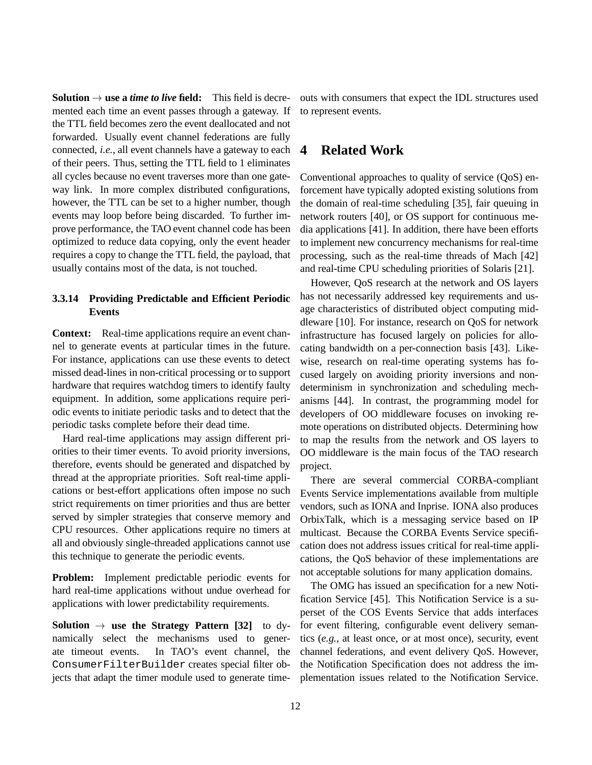**Solution**  $\rightarrow$  **use a** *time to live* field: This field is decremented each time an event passes through a gateway. If the TTL field becomes zero the event deallocated and not forwarded. Usually event channel federations are fully connected, *i.e.*, all event channels have a gateway to each of their peers. Thus, setting the TTL field to 1 eliminates all cycles because no event traverses more than one gateway link. In more complex distributed configurations, however, the TTL can be set to a higher number, though events may loop before being discarded. To further improve performance, the TAO event channel code has been optimized to reduce data copying, only the event header requires a copy to change the TTL field, the payload, that usually contains most of the data, is not touched.

# **3.3.14 Providing Predictable and Efficient Periodic Events**

**Context:** Real-time applications require an event channel to generate events at particular times in the future. For instance, applications can use these events to detect missed dead-lines in non-critical processing or to support hardware that requires watchdog timers to identify faulty equipment. In addition, some applications require periodic events to initiate periodic tasks and to detect that the periodic tasks complete before their dead time.

Hard real-time applications may assign different priorities to their timer events. To avoid priority inversions, therefore, events should be generated and dispatched by thread at the appropriate priorities. Soft real-time applications or best-effort applications often impose no such strict requirements on timer priorities and thus are better served by simpler strategies that conserve memory and CPU resources. Other applications require no timers at all and obviously single-threaded applications cannot use this technique to generate the periodic events.

**Problem:** Implement predictable periodic events for hard real-time applications without undue overhead for applications with lower predictability requirements.

**Solution**  $\rightarrow$  **use the Strategy Pattern [32]** to dynamically select the mechanisms used to generate timeout events. In TAO's event channel, the ConsumerFilterBuilder creates special filter objects that adapt the timer module used to generate timeouts with consumers that expect the IDL structures used to represent events.

# **4 Related Work**

Conventional approaches to quality of service (QoS) enforcement have typically adopted existing solutions from the domain of real-time scheduling [35], fair queuing in network routers [40], or OS support for continuous media applications [41]. In addition, there have been efforts to implement new concurrency mechanisms for real-time processing, such as the real-time threads of Mach [42] and real-time CPU scheduling priorities of Solaris [21].

However, QoS research at the network and OS layers has not necessarily addressed key requirements and usage characteristics of distributed object computing middleware [10]. For instance, research on QoS for network infrastructure has focused largely on policies for allocating bandwidth on a per-connection basis [43]. Likewise, research on real-time operating systems has focused largely on avoiding priority inversions and nondeterminism in synchronization and scheduling mechanisms [44]. In contrast, the programming model for developers of OO middleware focuses on invoking remote operations on distributed objects. Determining how to map the results from the network and OS layers to OO middleware is the main focus of the TAO research project.

There are several commercial CORBA-compliant Events Service implementations available from multiple vendors, such as IONA and Inprise. IONA also produces OrbixTalk, which is a messaging service based on IP multicast. Because the CORBA Events Service specification does not address issues critical for real-time applications, the QoS behavior of these implementations are not acceptable solutions for many application domains.

The OMG has issued an specification for a new Notification Service [45]. This Notification Service is a superset of the COS Events Service that adds interfaces for event filtering, configurable event delivery semantics (*e.g.*, at least once, or at most once), security, event channel federations, and event delivery QoS. However, the Notification Specification does not address the implementation issues related to the Notification Service.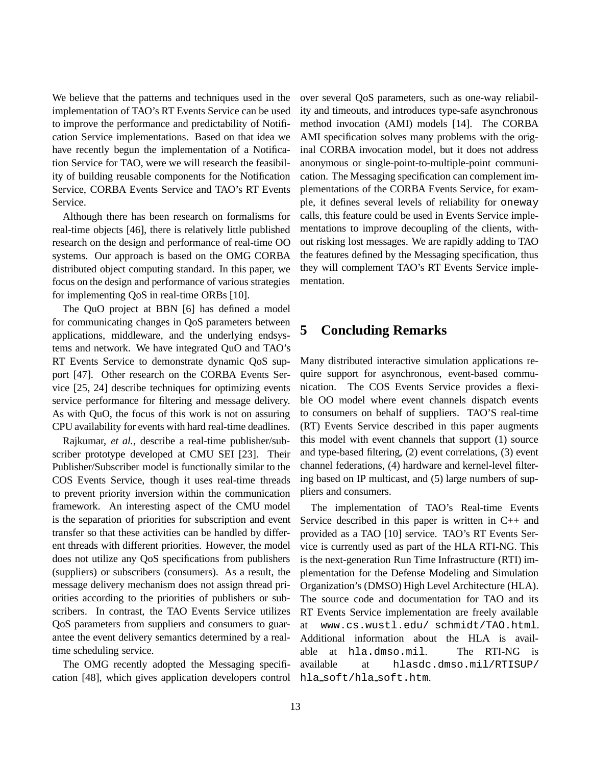We believe that the patterns and techniques used in the implementation of TAO's RT Events Service can be used to improve the performance and predictability of Notification Service implementations. Based on that idea we have recently begun the implementation of a Notification Service for TAO, were we will research the feasibility of building reusable components for the Notification Service, CORBA Events Service and TAO's RT Events Service.

Although there has been research on formalisms for real-time objects [46], there is relatively little published research on the design and performance of real-time OO systems. Our approach is based on the OMG CORBA distributed object computing standard. In this paper, we focus on the design and performance of various strategies for implementing QoS in real-time ORBs [10].

The QuO project at BBN [6] has defined a model for communicating changes in QoS parameters between applications, middleware, and the underlying endsystems and network. We have integrated QuO and TAO's RT Events Service to demonstrate dynamic QoS support [47]. Other research on the CORBA Events Service [25, 24] describe techniques for optimizing events service performance for filtering and message delivery. As with QuO, the focus of this work is not on assuring CPU availability for events with hard real-time deadlines.

Rajkumar, *et al.*, describe a real-time publisher/subscriber prototype developed at CMU SEI [23]. Their Publisher/Subscriber model is functionally similar to the COS Events Service, though it uses real-time threads to prevent priority inversion within the communication framework. An interesting aspect of the CMU model is the separation of priorities for subscription and event transfer so that these activities can be handled by different threads with different priorities. However, the model does not utilize any QoS specifications from publishers (suppliers) or subscribers (consumers). As a result, the message delivery mechanism does not assign thread priorities according to the priorities of publishers or subscribers. In contrast, the TAO Events Service utilizes QoS parameters from suppliers and consumers to guarantee the event delivery semantics determined by a realtime scheduling service.

The OMG recently adopted the Messaging specification [48], which gives application developers control hla soft/hla soft.htm.

over several QoS parameters, such as one-way reliability and timeouts, and introduces type-safe asynchronous method invocation (AMI) models [14]. The CORBA AMI specification solves many problems with the original CORBA invocation model, but it does not address anonymous or single-point-to-multiple-point communication. The Messaging specification can complement implementations of the CORBA Events Service, for example, it defines several levels of reliability for oneway calls, this feature could be used in Events Service implementations to improve decoupling of the clients, without risking lost messages. We are rapidly adding to TAO the features defined by the Messaging specification, thus they will complement TAO's RT Events Service implementation.

# **5 Concluding Remarks**

Many distributed interactive simulation applications require support for asynchronous, event-based communication. The COS Events Service provides a flexible OO model where event channels dispatch events to consumers on behalf of suppliers. TAO'S real-time (RT) Events Service described in this paper augments this model with event channels that support (1) source and type-based filtering, (2) event correlations, (3) event channel federations, (4) hardware and kernel-level filtering based on IP multicast, and (5) large numbers of suppliers and consumers.

The implementation of TAO's Real-time Events Service described in this paper is written in C++ and provided as a TAO [10] service. TAO's RT Events Service is currently used as part of the HLA RTI-NG. This is the next-generation Run Time Infrastructure (RTI) implementation for the Defense Modeling and Simulation Organization's (DMSO) High Level Architecture (HLA). The source code and documentation for TAO and its RT Events Service implementation are freely available at www.cs.wustl.edu/ schmidt/TAO.html. Additional information about the HLA is available at hla.dmso.mil. The RTI-NG is available at hlasdc.dmso.mil/RTISUP/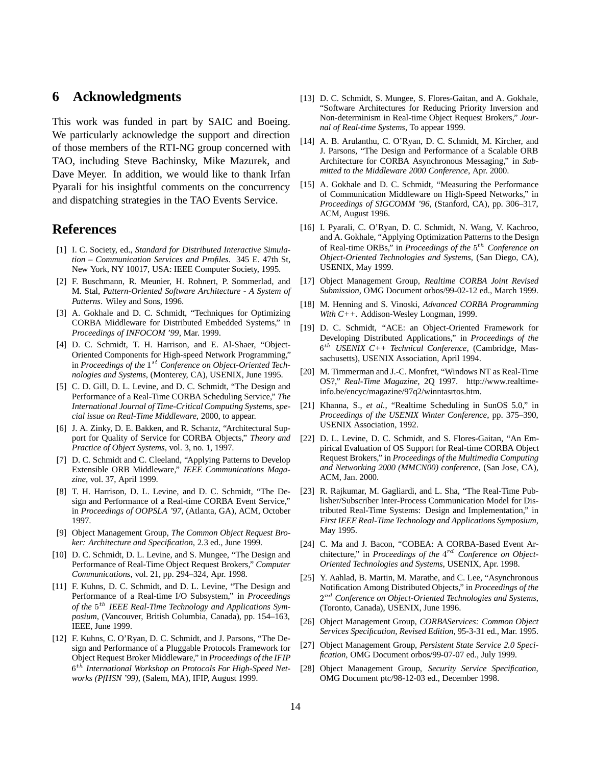# **6 Acknowledgments**

This work was funded in part by SAIC and Boeing. We particularly acknowledge the support and direction of those members of the RTI-NG group concerned with TAO, including Steve Bachinsky, Mike Mazurek, and Dave Meyer. In addition, we would like to thank Irfan Pyarali for his insightful comments on the concurrency and dispatching strategies in the TAO Events Service.

# **References**

- [1] I. C. Society, ed., *Standard for Distributed Interactive Simulation – Communication Services and Profiles*. 345 E. 47th St, New York, NY 10017, USA: IEEE Computer Society, 1995.
- [2] F. Buschmann, R. Meunier, H. Rohnert, P. Sommerlad, and M. Stal, *Pattern-Oriented Software Architecture - A System of Patterns*. Wiley and Sons, 1996.
- [3] A. Gokhale and D. C. Schmidt, "Techniques for Optimizing CORBA Middleware for Distributed Embedded Systems," in *Proceedings of INFOCOM '99*, Mar. 1999.
- [4] D. C. Schmidt, T. H. Harrison, and E. Al-Shaer, "Object-Oriented Components for High-speed Network Programming," in *Proceedings of the*  $1^{st}$  *Conference on Object-Oriented Technologies and Systems*, (Monterey, CA), USENIX, June 1995.
- [5] C. D. Gill, D. L. Levine, and D. C. Schmidt, "The Design and Performance of a Real-Time CORBA Scheduling Service," *The International Journal of Time-Critical Computing Systems, special issue on Real-Time Middleware*, 2000, to appear.
- [6] J. A. Zinky, D. E. Bakken, and R. Schantz, "Architectural Support for Quality of Service for CORBA Objects," *Theory and Practice of Object Systems*, vol. 3, no. 1, 1997.
- [7] D. C. Schmidt and C. Cleeland, "Applying Patterns to Develop Extensible ORB Middleware," *IEEE Communications Magazine*, vol. 37, April 1999.
- [8] T. H. Harrison, D. L. Levine, and D. C. Schmidt, "The Design and Performance of a Real-time CORBA Event Service," in *Proceedings of OOPSLA '97*, (Atlanta, GA), ACM, October 1997.
- [9] Object Management Group, *The Common Object Request Broker: Architecture and Specification*, 2.3 ed., June 1999.
- [10] D. C. Schmidt, D. L. Levine, and S. Mungee, "The Design and Performance of Real-Time Object Request Brokers," *Computer Communications*, vol. 21, pp. 294–324, Apr. 1998.
- [11] F. Kuhns, D. C. Schmidt, and D. L. Levine, "The Design and Performance of a Real-time I/O Subsystem," in *Proceedings* of the 5<sup>th</sup> IEEE Real-Time Technology and Applications Sym*posium*, (Vancouver, British Columbia, Canada), pp. 154–163, IEEE, June 1999.
- [12] F. Kuhns, C. O'Ryan, D. C. Schmidt, and J. Parsons, "The Design and Performance of a Pluggable Protocols Framework for Object Request Broker Middleware," in *Proceedings of the IFIP* <sup>6</sup> th *International Workshop on Protocols For High-Speed Networks (PfHSN '99)*, (Salem, MA), IFIP, August 1999.
- [13] D. C. Schmidt, S. Mungee, S. Flores-Gaitan, and A. Gokhale, "Software Architectures for Reducing Priority Inversion and Non-determinism in Real-time Object Request Brokers," *Journal of Real-time Systems*, To appear 1999.
- [14] A. B. Arulanthu, C. O'Ryan, D. C. Schmidt, M. Kircher, and J. Parsons, "The Design and Performance of a Scalable ORB Architecture for CORBA Asynchronous Messaging," in *Submitted to the Middleware 2000 Conference*, Apr. 2000.
- [15] A. Gokhale and D. C. Schmidt, "Measuring the Performance of Communication Middleware on High-Speed Networks," in *Proceedings of SIGCOMM '96*, (Stanford, CA), pp. 306–317, ACM, August 1996.
- [16] I. Pyarali, C. O'Ryan, D. C. Schmidt, N. Wang, V. Kachroo, and A. Gokhale, "Applying Optimization Patterns to the Design of Real-time ORBs," in *Proceedings of the*  $5<sup>th</sup>$  *Conference on Object-Oriented Technologies and Systems*, (San Diego, CA), USENIX, May 1999.
- [17] Object Management Group, *Realtime CORBA Joint Revised Submission*, OMG Document orbos/99-02-12 ed., March 1999.
- [18] M. Henning and S. Vinoski, *Advanced CORBA Programming With C++*. Addison-Wesley Longman, 1999.
- [19] D. C. Schmidt, "ACE: an Object-Oriented Framework for Developing Distributed Applications," in *Proceedings of the* <sup>6</sup> th *USENIX C++ Technical Conference*, (Cambridge, Massachusetts), USENIX Association, April 1994.
- [20] M. Timmerman and J.-C. Monfret, "Windows NT as Real-Time OS?," *Real-Time Magazine*, 2Q 1997. http://www.realtimeinfo.be/encyc/magazine/97q2/winntasrtos.htm.
- [21] Khanna, S., *et al.*, "Realtime Scheduling in SunOS 5.0," in *Proceedings of the USENIX Winter Conference*, pp. 375–390, USENIX Association, 1992.
- [22] D. L. Levine, D. C. Schmidt, and S. Flores-Gaitan, "An Empirical Evaluation of OS Support for Real-time CORBA Object Request Brokers," in *Proceedings of the Multimedia Computing and Networking 2000 (MMCN00) conference*, (San Jose, CA), ACM, Jan. 2000.
- [23] R. Rajkumar, M. Gagliardi, and L. Sha, "The Real-Time Publisher/Subscriber Inter-Process Communication Model for Distributed Real-Time Systems: Design and Implementation," in *First IEEE Real-Time Technology and Applications Symposium*, May 1995.
- [24] C. Ma and J. Bacon, "COBEA: A CORBA-Based Event Architecture," in *Proceedings of the*  $4^{rd}$  Conference on Object-*Oriented Technologies and Systems*, USENIX, Apr. 1998.
- [25] Y. Aahlad, B. Martin, M. Marathe, and C. Lee, "Asynchronous Notification Among Distributed Objects," in *Proceedings of the* <sup>2</sup> nd *Conference on Object-Oriented Technologies and Systems*, (Toronto, Canada), USENIX, June 1996.
- [26] Object Management Group, *CORBAServices: Common Object Services Specification, Revised Edition*, 95-3-31 ed., Mar. 1995.
- [27] Object Management Group, *Persistent State Service 2.0 Specification*, OMG Document orbos/99-07-07 ed., July 1999.
- [28] Object Management Group, *Security Service Specification*, OMG Document ptc/98-12-03 ed., December 1998.